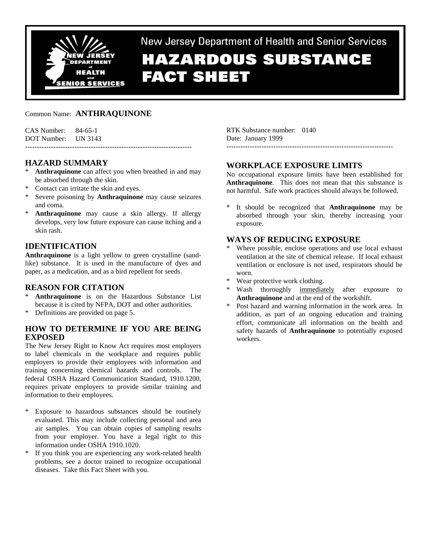

New Jersey Department of Health and Senior Services **HAZARDOUS SUBSTANCE** 

# **FACT SHEET**

# Common Name: **ANTHRAQUINONE**

| $CAS$ Number: $84-65-1$ |  |
|-------------------------|--|
| DOT Number: UN 3143     |  |
|                         |  |

# **HAZARD SUMMARY**

- \* **Anthraquinone** can affect you when breathed in and may be absorbed through the skin.
- Contact can irritate the skin and eyes.
- \* Severe poisoning by **Anthraquinone** may cause seizures and coma.
- Anthraquinone may cause a skin allergy. If allergy develops, very low future exposure can cause itching and a skin rash.

# **IDENTIFICATION**

**Anthraquinone** is a light yellow to green crystalline (sandlike) substance. It is used in the manufacture of dyes and paper, as a medication, and as a bird repellent for seeds.

## **REASON FOR CITATION**

- Anthraquinone is on the Hazardous Substance List because it is cited by NFPA, DOT and other authorities.
- \* Definitions are provided on page 5.

# **HOW TO DETERMINE IF YOU ARE BEING EXPOSED**

The New Jersey Right to Know Act requires most employers to label chemicals in the workplace and requires public employers to provide their employees with information and training concerning chemical hazards and controls. The federal OSHA Hazard Communication Standard, 1910.1200, requires private employers to provide similar training and information to their employees.

- Exposure to hazardous substances should be routinely evaluated. This may include collecting personal and area air samples. You can obtain copies of sampling results from your employer. You have a legal right to this information under OSHA 1910.1020.
- \* If you think you are experiencing any work-related health problems, see a doctor trained to recognize occupational diseases. Take this Fact Sheet with you.

RTK Substance number: 0140 Date: January 1999

# **WORKPLACE EXPOSURE LIMITS**

No occupational exposure limits have been established for **Anthraquinone**. This does not mean that this substance is not harmful. Safe work practices should always be followed.

-----------------------------------------------------------------------

It should be recognized that **Anthraquinone** may be absorbed through your skin, thereby increasing your exposure.

# **WAYS OF REDUCING EXPOSURE**

- Where possible, enclose operations and use local exhaust ventilation at the site of chemical release. If local exhaust ventilation or enclosure is not used, respirators should be worn.
- Wear protective work clothing.
- Wash thoroughly immediately after exposure to **Anthraquinone** and at the end of the workshift.
- \* Post hazard and warning information in the work area. In addition, as part of an ongoing education and training effort, communicate all information on the health and safety hazards of **Anthraquinone** to potentially exposed workers.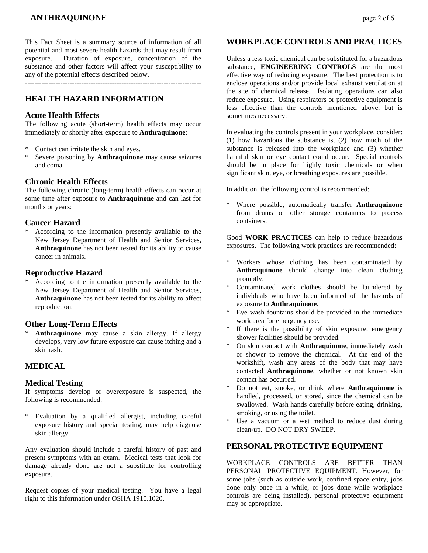# **ANTHRAQUINONE page 2 of 6**

This Fact Sheet is a summary source of information of all potential and most severe health hazards that may result from exposure. Duration of exposure, concentration of the substance and other factors will affect your susceptibility to any of the potential effects described below.

---------------------------------------------------------------------------

# **HEALTH HAZARD INFORMATION**

#### **Acute Health Effects**

The following acute (short-term) health effects may occur immediately or shortly after exposure to **Anthraquinone**:

- \* Contact can irritate the skin and eyes.
- \* Severe poisoning by **Anthraquinone** may cause seizures and coma.

#### **Chronic Health Effects**

The following chronic (long-term) health effects can occur at some time after exposure to **Anthraquinone** and can last for months or years:

#### **Cancer Hazard**

\* According to the information presently available to the New Jersey Department of Health and Senior Services, **Anthraquinone** has not been tested for its ability to cause cancer in animals.

#### **Reproductive Hazard**

According to the information presently available to the New Jersey Department of Health and Senior Services, **Anthraquinone** has not been tested for its ability to affect reproduction.

#### **Other Long-Term Effects**

Anthraquinone may cause a skin allergy. If allergy develops, very low future exposure can cause itching and a skin rash.

# **MEDICAL**

#### **Medical Testing**

If symptoms develop or overexposure is suspected, the following is recommended:

\* Evaluation by a qualified allergist, including careful exposure history and special testing, may help diagnose skin allergy.

Any evaluation should include a careful history of past and present symptoms with an exam. Medical tests that look for damage already done are not a substitute for controlling exposure.

Request copies of your medical testing. You have a legal right to this information under OSHA 1910.1020.

## **WORKPLACE CONTROLS AND PRACTICES**

Unless a less toxic chemical can be substituted for a hazardous substance, **ENGINEERING CONTROLS** are the most effective way of reducing exposure. The best protection is to enclose operations and/or provide local exhaust ventilation at the site of chemical release. Isolating operations can also reduce exposure. Using respirators or protective equipment is less effective than the controls mentioned above, but is sometimes necessary.

In evaluating the controls present in your workplace, consider: (1) how hazardous the substance is, (2) how much of the substance is released into the workplace and (3) whether harmful skin or eye contact could occur. Special controls should be in place for highly toxic chemicals or when significant skin, eye, or breathing exposures are possible.

In addition, the following control is recommended:

Where possible, automatically transfer **Anthraquinone** from drums or other storage containers to process containers.

Good **WORK PRACTICES** can help to reduce hazardous exposures. The following work practices are recommended:

- \* Workers whose clothing has been contaminated by **Anthraquinone** should change into clean clothing promptly.
- Contaminated work clothes should be laundered by individuals who have been informed of the hazards of exposure to **Anthraquinone**.
- Eye wash fountains should be provided in the immediate work area for emergency use.
- If there is the possibility of skin exposure, emergency shower facilities should be provided.
- On skin contact with **Anthraquinone**, immediately wash or shower to remove the chemical. At the end of the workshift, wash any areas of the body that may have contacted **Anthraquinone**, whether or not known skin contact has occurred.
- \* Do not eat, smoke, or drink where **Anthraquinone** is handled, processed, or stored, since the chemical can be swallowed. Wash hands carefully before eating, drinking, smoking, or using the toilet.
- Use a vacuum or a wet method to reduce dust during clean-up. DO NOT DRY SWEEP.

## **PERSONAL PROTECTIVE EQUIPMENT**

WORKPLACE CONTROLS ARE BETTER THAN PERSONAL PROTECTIVE EQUIPMENT. However, for some jobs (such as outside work, confined space entry, jobs done only once in a while, or jobs done while workplace controls are being installed), personal protective equipment may be appropriate.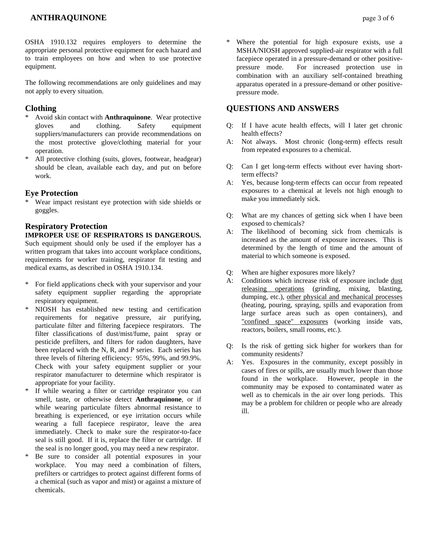# **ANTHRAQUINONE page 3 of 6**

OSHA 1910.132 requires employers to determine the appropriate personal protective equipment for each hazard and to train employees on how and when to use protective equipment.

The following recommendations are only guidelines and may not apply to every situation.

## **Clothing**

- \* Avoid skin contact with **Anthraquinone**. Wear protective gloves and clothing. Safety equipment suppliers/manufacturers can provide recommendations on the most protective glove/clothing material for your operation.
- \* All protective clothing (suits, gloves, footwear, headgear) should be clean, available each day, and put on before work.

#### **Eye Protection**

\* Wear impact resistant eye protection with side shields or goggles.

## **Respiratory Protection**

#### **IMPROPER USE OF RESPIRATORS IS DANGEROUS.**

Such equipment should only be used if the employer has a written program that takes into account workplace conditions, requirements for worker training, respirator fit testing and medical exams, as described in OSHA 1910.134.

- \* For field applications check with your supervisor and your safety equipment supplier regarding the appropriate respiratory equipment.
- NIOSH has established new testing and certification requirements for negative pressure, air purifying, particulate filter and filtering facepiece respirators. The filter classifications of dust/mist/fume, paint spray or pesticide prefilters, and filters for radon daughters, have been replaced with the N, R, and P series. Each series has three levels of filtering efficiency: 95%, 99%, and 99.9%. Check with your safety equipment supplier or your respirator manufacturer to determine which respirator is appropriate for your facility.
- \* If while wearing a filter or cartridge respirator you can smell, taste, or otherwise detect **Anthraquinone**, or if while wearing particulate filters abnormal resistance to breathing is experienced, or eye irritation occurs while wearing a full facepiece respirator, leave the area immediately. Check to make sure the respirator-to-face seal is still good. If it is, replace the filter or cartridge. If the seal is no longer good, you may need a new respirator.
- Be sure to consider all potential exposures in your workplace. You may need a combination of filters, prefilters or cartridges to protect against different forms of a chemical (such as vapor and mist) or against a mixture of chemicals.

Where the potential for high exposure exists, use a MSHA/NIOSH approved supplied-air respirator with a full facepiece operated in a pressure-demand or other positivepressure mode. For increased protection use in combination with an auxiliary self-contained breathing apparatus operated in a pressure-demand or other positivepressure mode.

#### **QUESTIONS AND ANSWERS**

- Q: If I have acute health effects, will I later get chronic health effects?
- A: Not always. Most chronic (long-term) effects result from repeated exposures to a chemical.
- Q: Can I get long-term effects without ever having shortterm effects?
- A: Yes, because long-term effects can occur from repeated exposures to a chemical at levels not high enough to make you immediately sick.
- Q: What are my chances of getting sick when I have been exposed to chemicals?
- A: The likelihood of becoming sick from chemicals is increased as the amount of exposure increases. This is determined by the length of time and the amount of material to which someone is exposed.
- Q: When are higher exposures more likely?
- A: Conditions which increase risk of exposure include dust releasing operations (grinding, mixing, blasting, dumping, etc.), other physical and mechanical processes (heating, pouring, spraying, spills and evaporation from large surface areas such as open containers), and "confined space" exposures (working inside vats, reactors, boilers, small rooms, etc.).
- Q: Is the risk of getting sick higher for workers than for community residents?
- A: Yes. Exposures in the community, except possibly in cases of fires or spills, are usually much lower than those found in the workplace. However, people in the community may be exposed to contaminated water as well as to chemicals in the air over long periods. This may be a problem for children or people who are already ill.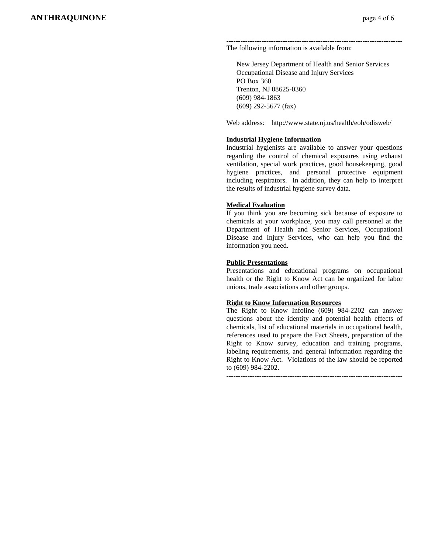#### --------------------------------------------------------------------------- The following information is available from:

 New Jersey Department of Health and Senior Services Occupational Disease and Injury Services PO Box 360 Trenton, NJ 08625-0360 (609) 984-1863 (609) 292-5677 (fax)

Web address: http://www.state.nj.us/health/eoh/odisweb/

#### **Industrial Hygiene Information**

Industrial hygienists are available to answer your questions regarding the control of chemical exposures using exhaust ventilation, special work practices, good housekeeping, good hygiene practices, and personal protective equipment including respirators. In addition, they can help to interpret the results of industrial hygiene survey data.

#### **Medical Evaluation**

If you think you are becoming sick because of exposure to chemicals at your workplace, you may call personnel at the Department of Health and Senior Services, Occupational Disease and Injury Services, who can help you find the information you need.

#### **Public Presentations**

Presentations and educational programs on occupational health or the Right to Know Act can be organized for labor unions, trade associations and other groups.

#### **Right to Know Information Resources**

The Right to Know Infoline (609) 984-2202 can answer questions about the identity and potential health effects of chemicals, list of educational materials in occupational health, references used to prepare the Fact Sheets, preparation of the Right to Know survey, education and training programs, labeling requirements, and general information regarding the Right to Know Act. Violations of the law should be reported to (609) 984-2202.

---------------------------------------------------------------------------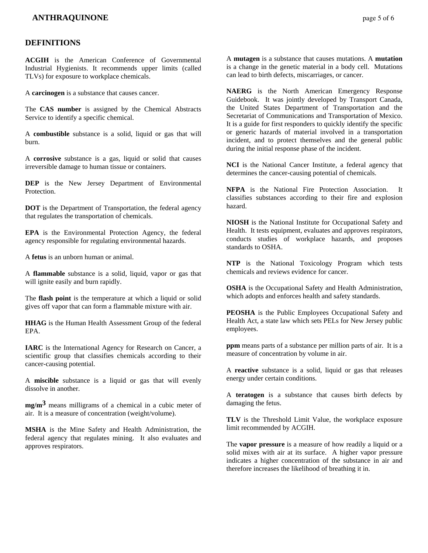## **DEFINITIONS**

**ACGIH** is the American Conference of Governmental Industrial Hygienists. It recommends upper limits (called TLVs) for exposure to workplace chemicals.

A **carcinogen** is a substance that causes cancer.

The **CAS number** is assigned by the Chemical Abstracts Service to identify a specific chemical.

A **combustible** substance is a solid, liquid or gas that will burn.

A **corrosive** substance is a gas, liquid or solid that causes irreversible damage to human tissue or containers.

**DEP** is the New Jersey Department of Environmental Protection.

**DOT** is the Department of Transportation, the federal agency that regulates the transportation of chemicals.

**EPA** is the Environmental Protection Agency, the federal agency responsible for regulating environmental hazards.

A **fetus** is an unborn human or animal.

A **flammable** substance is a solid, liquid, vapor or gas that will ignite easily and burn rapidly.

The **flash point** is the temperature at which a liquid or solid gives off vapor that can form a flammable mixture with air.

**HHAG** is the Human Health Assessment Group of the federal EPA.

**IARC** is the International Agency for Research on Cancer, a scientific group that classifies chemicals according to their cancer-causing potential.

A **miscible** substance is a liquid or gas that will evenly dissolve in another.

**mg/m3** means milligrams of a chemical in a cubic meter of air. It is a measure of concentration (weight/volume).

**MSHA** is the Mine Safety and Health Administration, the federal agency that regulates mining. It also evaluates and approves respirators.

A **mutagen** is a substance that causes mutations. A **mutation** is a change in the genetic material in a body cell. Mutations can lead to birth defects, miscarriages, or cancer.

**NAERG** is the North American Emergency Response Guidebook. It was jointly developed by Transport Canada, the United States Department of Transportation and the Secretariat of Communications and Transportation of Mexico. It is a guide for first responders to quickly identify the specific or generic hazards of material involved in a transportation incident, and to protect themselves and the general public during the initial response phase of the incident.

**NCI** is the National Cancer Institute, a federal agency that determines the cancer-causing potential of chemicals.

**NFPA** is the National Fire Protection Association. It classifies substances according to their fire and explosion hazard.

**NIOSH** is the National Institute for Occupational Safety and Health. It tests equipment, evaluates and approves respirators, conducts studies of workplace hazards, and proposes standards to OSHA.

**NTP** is the National Toxicology Program which tests chemicals and reviews evidence for cancer.

**OSHA** is the Occupational Safety and Health Administration, which adopts and enforces health and safety standards.

**PEOSHA** is the Public Employees Occupational Safety and Health Act, a state law which sets PELs for New Jersey public employees.

**ppm** means parts of a substance per million parts of air. It is a measure of concentration by volume in air.

A **reactive** substance is a solid, liquid or gas that releases energy under certain conditions.

A **teratogen** is a substance that causes birth defects by damaging the fetus.

**TLV** is the Threshold Limit Value, the workplace exposure limit recommended by ACGIH.

The **vapor pressure** is a measure of how readily a liquid or a solid mixes with air at its surface. A higher vapor pressure indicates a higher concentration of the substance in air and therefore increases the likelihood of breathing it in.